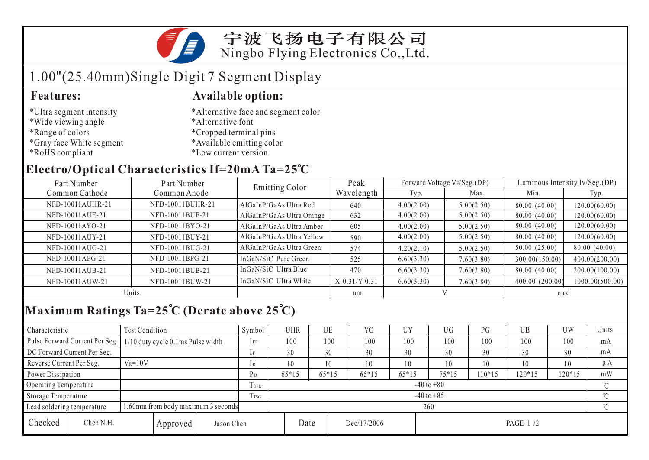

## 1.00"(25.40mm)Single Digit 7 Segment Display

- \*Ultra segment intensity
- \*Wide viewing angle
- \*Range of colors
- \*Gray face White segment
- \*RoHS compliant

#### **Features: Available option:**

- \*Alternative face and segment color
- \*Alternative font
- \*Cropped terminal pins
- \*Available emitting color
- \*Low current version

### **Electro/Optical Characteristics If=20mA Ta=25 C**

| Part Number      | Part Number      |                           | Peak            |            | Forward Voltage VF/Seg.(DP) | Luminous Intensity Iv/Seg.(DP) |                 |  |
|------------------|------------------|---------------------------|-----------------|------------|-----------------------------|--------------------------------|-----------------|--|
| Common Cathode   | Common Anode     | <b>Emitting Color</b>     | Wavelength      | Typ.       | Max.                        | Min.                           | Typ.            |  |
| NFD-10011AUHR-21 | NFD-10011BUHR-21 | AlGaInP/GaAs Ultra Red    | 640             | 4.00(2.00) | 5.00(2.50)                  | 80.00 (40.00)                  | 120.00(60.00)   |  |
| NFD-10011AUE-21  | NFD-10011BUE-21  | AlGaInP/GaAs Ultra Orange | 632             | 4.00(2.00) | 5.00(2.50)                  | 80.00 (40.00)                  | 120.00(60.00)   |  |
| NFD-10011AYO-21  | NFD-10011BYO-21  | AlGaInP/GaAs Ultra Amber  | 605             | 4.00(2.00) | 5.00(2.50)                  | 80.00 (40.00)                  | 120.00(60.00)   |  |
| NFD-10011AUY-21  | NFD-10011BUY-21  | AlGaInP/GaAs Ultra Yellow | 590             | 4.00(2.00) | 5.00(2.50)                  | 80.00 (40.00)                  | 120.00(60.00)   |  |
| NFD-10011AUG-21  | NFD-10011BUG-21  | AlGaInP/GaAs Ultra Green  | 574             | 4.20(2.10) | 5.00(2.50)                  | 50.00 (25.00)                  | 80.00 (40.00)   |  |
| NFD-10011APG-21  | NFD-10011BPG-21  | InGaN/SiC Pure Green      | 525             | 6.60(3.30) | 7.60(3.80)                  | 300.00(150.00)                 | 400.00(200.00)  |  |
| NFD-10011AUB-21  | NFD-10011BUB-21  | InGaN/SiC Ultra Blue      | 470             | 6.60(3.30) | 7.60(3.80)                  | 80.00 (40.00)                  | 200.00(100.00)  |  |
| NFD-10011AUW-21  | NFD-10011BUW-21  | InGaN/SiC Ultra White     | $X-0.31/Y-0.31$ | 6.60(3.30) | 7.60(3.80)                  | 400.00 (200.00)                | 1000.00(500.00) |  |
| Units            |                  |                           | nm              |            |                             | mcd                            |                 |  |

## **Maximum Ratings Ta=25 C (Derate above 25 C)**

| Characteristic                                                  |                                | Test Condition                    |          |                | Symbol         | <b>UHR</b> |         | UE      | Y <sub>0</sub> | <b>UY</b> | UG       | PG     | UB  | <b>UW</b> | Units |  |
|-----------------------------------------------------------------|--------------------------------|-----------------------------------|----------|----------------|----------------|------------|---------|---------|----------------|-----------|----------|--------|-----|-----------|-------|--|
|                                                                 | Pulse Forward Current Per Seg. | 1/10 duty cycle 0.1ms Pulse width |          |                | $1$ FP         | 100        |         | 100     | 100            | 100       | 100      | 100    | 100 | 100       | mA    |  |
| DC Forward Current Per Seg.                                     |                                |                                   |          | 1 F            | 30             |            | 30      | 30      | 30             | 30        | 30       | 30     | 30  | mA        |       |  |
| Reverse Current Per Seg.                                        |                                | $V_R = 10V$                       |          |                | 1 R            | 10         |         | 10      | 10             | 10        | 10       | 10     | 10  | 10        | μA    |  |
| Power Dissipation                                               |                                |                                   | $P_D$    | $65*15$        |                | $65*15$    | $65*15$ | $65*15$ | $75*15$        | $10*15$   | $120*15$ | 120*15 | mW  |           |       |  |
| Operating Temperature                                           |                                |                                   |          | <b>TOPR</b>    | $-40$ to $+80$ |            |         |         |                |           |          |        |     |           |       |  |
| Storage Temperature                                             |                                |                                   | Trsg     | $-40$ to $+85$ |                |            |         |         |                |           |          |        |     |           |       |  |
| .60mm from body maximum 3 seconds<br>Lead soldering temperature |                                |                                   |          |                | 260            |            |         |         |                |           |          |        |     |           |       |  |
| Checked                                                         | Chen N.H.                      |                                   | Approved | Jason Chen     |                |            | Date    |         | Dec/17/2006    |           | PAGE 1/2 |        |     |           |       |  |